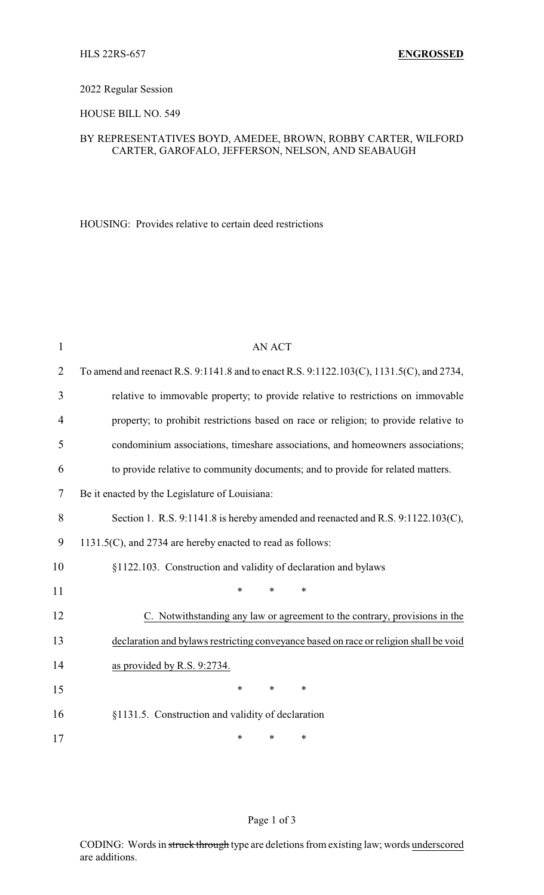#### 2022 Regular Session

## HOUSE BILL NO. 549

# BY REPRESENTATIVES BOYD, AMEDEE, BROWN, ROBBY CARTER, WILFORD CARTER, GAROFALO, JEFFERSON, NELSON, AND SEABAUGH

HOUSING: Provides relative to certain deed restrictions

| $\mathbf{1}$   | <b>AN ACT</b>                                                                            |  |  |  |
|----------------|------------------------------------------------------------------------------------------|--|--|--|
| $\overline{2}$ | To amend and reenact R.S. 9:1141.8 and to enact R.S. 9:1122.103(C), 1131.5(C), and 2734, |  |  |  |
| 3              | relative to immovable property; to provide relative to restrictions on immovable         |  |  |  |
| 4              | property; to prohibit restrictions based on race or religion; to provide relative to     |  |  |  |
| 5              | condominium associations, timeshare associations, and homeowners associations;           |  |  |  |
| 6              | to provide relative to community documents; and to provide for related matters.          |  |  |  |
| 7              | Be it enacted by the Legislature of Louisiana:                                           |  |  |  |
| 8              | Section 1. R.S. 9:1141.8 is hereby amended and reenacted and R.S. 9:1122.103(C),         |  |  |  |
| 9              | 1131.5(C), and 2734 are hereby enacted to read as follows:                               |  |  |  |
| 10             | §1122.103. Construction and validity of declaration and bylaws                           |  |  |  |
| 11             | $\ast$<br>$\ast$<br>$\ast$                                                               |  |  |  |
| 12             | C. Notwithstanding any law or agreement to the contrary, provisions in the               |  |  |  |
| 13             | declaration and bylaws restricting conveyance based on race or religion shall be void    |  |  |  |
| 14             | as provided by R.S. 9:2734.                                                              |  |  |  |
| 15             | $\ast$<br>$\ast$<br>*                                                                    |  |  |  |
| 16             | §1131.5. Construction and validity of declaration                                        |  |  |  |
| 17             | $\ast$<br>*<br>*                                                                         |  |  |  |

## Page 1 of 3

CODING: Words in struck through type are deletions from existing law; words underscored are additions.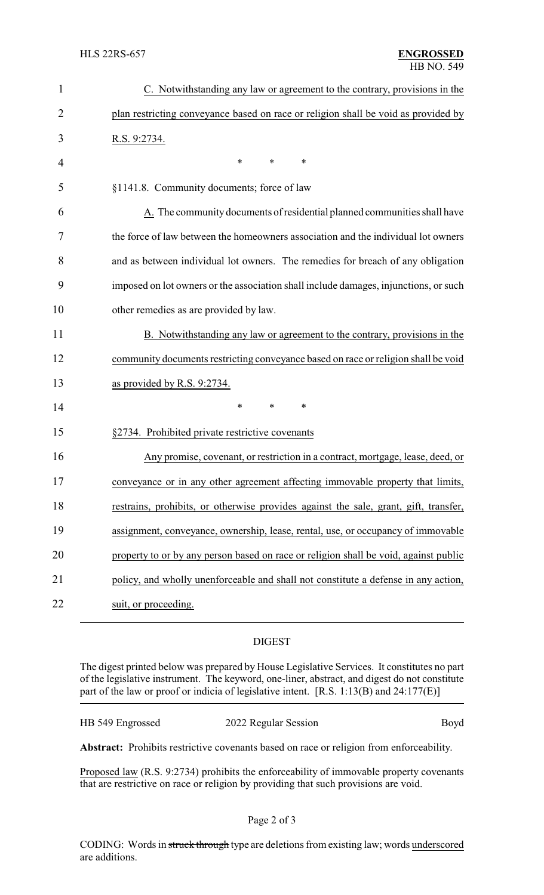| 1              | C. Notwithstanding any law or agreement to the contrary, provisions in the           |
|----------------|--------------------------------------------------------------------------------------|
| $\overline{2}$ | plan restricting conveyance based on race or religion shall be void as provided by   |
| 3              | <u>R.S. 9:2734.</u>                                                                  |
| 4              | $\ast$<br>*<br>∗                                                                     |
| 5              | §1141.8. Community documents; force of law                                           |
| 6              | A. The community documents of residential planned communities shall have             |
| 7              | the force of law between the homeowners association and the individual lot owners    |
| 8              | and as between individual lot owners. The remedies for breach of any obligation      |
| 9              | imposed on lot owners or the association shall include damages, injunctions, or such |
| 10             | other remedies as are provided by law.                                               |
| 11             | B. Notwithstanding any law or agreement to the contrary, provisions in the           |
| 12             | community documents restricting conveyance based on race or religion shall be void   |
| 13             | as provided by R.S. 9:2734.                                                          |
| 14             | *<br>*<br>*                                                                          |
| 15             | §2734. Prohibited private restrictive covenants                                      |
| 16             | Any promise, covenant, or restriction in a contract, mortgage, lease, deed, or       |
| 17             | conveyance or in any other agreement affecting immovable property that limits,       |
| 18             | restrains, prohibits, or otherwise provides against the sale, grant, gift, transfer, |
| 19             | assignment, conveyance, ownership, lease, rental, use, or occupancy of immovable     |
| 20             | property to or by any person based on race or religion shall be void, against public |
| 21             | policy, and wholly unenforceable and shall not constitute a defense in any action,   |
| 22             | suit, or proceeding.                                                                 |

## DIGEST

The digest printed below was prepared by House Legislative Services. It constitutes no part of the legislative instrument. The keyword, one-liner, abstract, and digest do not constitute part of the law or proof or indicia of legislative intent. [R.S. 1:13(B) and 24:177(E)]

| HB 549 Engrossed | 2022 Regular Session | Boyd |
|------------------|----------------------|------|
|------------------|----------------------|------|

**Abstract:** Prohibits restrictive covenants based on race or religion from enforceability.

Proposed law (R.S. 9:2734) prohibits the enforceability of immovable property covenants that are restrictive on race or religion by providing that such provisions are void.

CODING: Words in struck through type are deletions from existing law; words underscored are additions.